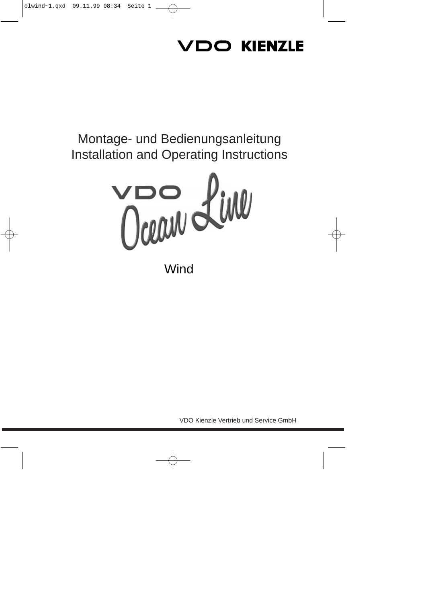# VDO KIENZLE

## Montage- und Bedienungsanleitung **Installation and Operating Instructions**



Wind

VDO Kienzle Vertrieb und Service GmbH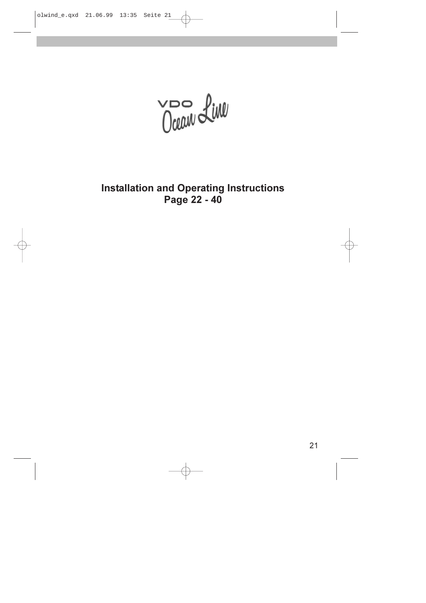VOO LINE

**Installation and Operating Instructions** Page 22 - 40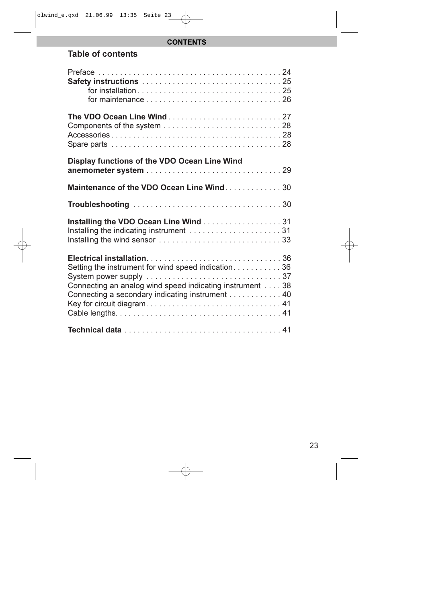#### **CONTENTS**

#### Table of contents

| Display functions of the VDO Ocean Line Wind                                                                                                                      |  |
|-------------------------------------------------------------------------------------------------------------------------------------------------------------------|--|
| Maintenance of the VDO Ocean Line Wind30                                                                                                                          |  |
|                                                                                                                                                                   |  |
| Installing the VDO Ocean Line Wind31                                                                                                                              |  |
| Setting the instrument for wind speed indication36<br>Connecting an analog wind speed indicating instrument 38<br>Connecting a secondary indicating instrument 40 |  |
|                                                                                                                                                                   |  |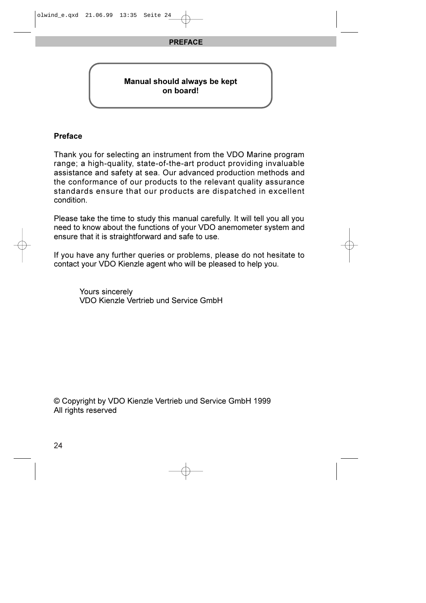#### PREFACE

#### Manual should always be kept on board!

#### Preface

Thank you for selecting an instrument from the VDO Marine program range; a high-quality, state-of-the-art product providing invaluable assistance and safety at sea. Our advanced production methods and the conformance of our products to the relevant quality assurance standards ensure that our products are dispatched in excellent condition.

Please take the time to study this manual carefully. It will tell you all you need to know about the functions of your VDO anemometer system and ensure that it is straightforward and safe to use.

If you have any further queries or problems, please do not hesitate to contact your VDO Kienzle agent who will be pleased to help you.

> Yours sincerely VDO Kienzle Vertrieb und Service GmbH

© Copyright by VDO Kienzle Vertrieb und Service GmbH 1999 All rights reserved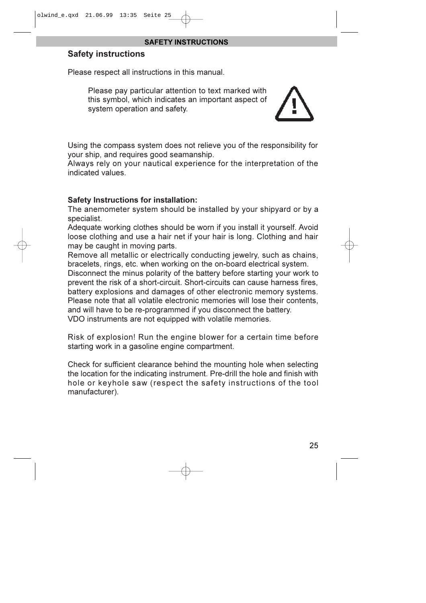#### SAFETY INSTRUCTIONS

#### Safety instructions

Please respect all instructions in this manual.

Please pay particular attention to text marked with this symbol, which indicates an important aspect of system operation and safety.



Using the compass system does not relieve you of the responsibility for your ship, and requires good seamanship.

Always rely on your nautical experience for the interpretation of the indicated values.

#### Safety Instructions for installation:

The anemometer system should be installed by your shipyard or by a specialist.

Adequate working clothes should be worn if you install it yourself. Avoid loose clothing and use a hair net if your hair is long. Clothing and hair may be caught in moving parts.

Remove all metallic or electrically conducting jewelry, such as chains, bracelets, rings, etc. when working on the on-board electrical system. Disconnect the minus polarity of the battery before starting your work to prevent the risk of a short-circuit. Short-circuits can cause harness fires, battery explosions and damages of other electronic memory systems. Please note that all volatile electronic memories will lose their contents, and will have to be re-programmed if you disconnect the battery. VDO instruments are not equipped with volatile memories.

Risk of explosion! Run the engine blower for a certain time before starting work in a gasoline engine compartment.

Check for sufficient clearance behind the mounting hole when selecting the location for the indicating instrument. Pre-drill the hole and finish with hole or keyhole saw (respect the safety instructions of the tool manufacturer).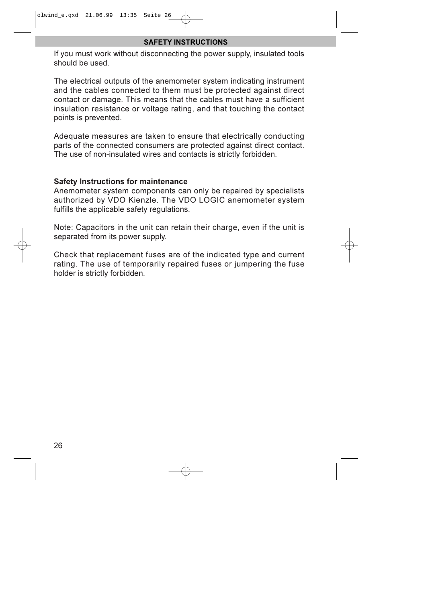#### SAFETY INSTRUCTIONS

If you must work without disconnecting the power supply, insulated tools should be used.

The electrical outputs of the anemometer system indicating instrument and the cables connected to them must be protected against direct contact or damage. This means that the cables must have a sufficient insulation resistance or voltage rating, and that touching the contact points is prevented.

Adequate measures are taken to ensure that electrically conducting parts of the connected consumers are protected against direct contact. The use of non-insulated wires and contacts is strictly forbidden.

#### Safety Instructions for maintenance

Anemometer system components can only be repaired by specialists authorized by VDO Kienzle. The VDO LOGIC anemometer system fulfills the applicable safety regulations.

Note: Capacitors in the unit can retain their charge, even if the unit is separated from its power supply.

Check that replacement fuses are of the indicated type and current rating. The use of temporarily repaired fuses or jumpering the fuse holder is strictly forbidden.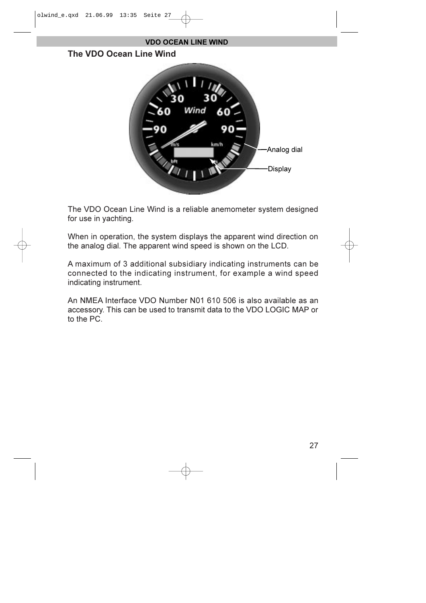

The VDO Ocean Line Wind is a reliable anemometer system designed for use in yachting.

When in operation, the system displays the apparent wind direction on the analog dial. The apparent wind speed is shown on the LCD.

A maximum of 3 additional subsidiary indicating instruments can be connected to the indicating instrument, for example a wind speed indicating instrument.

An NMEA Interface VDO Number N01 610 506 is also available as an accessory. This can be used to transmit data to the VDO LOGIC MAP or to the PC.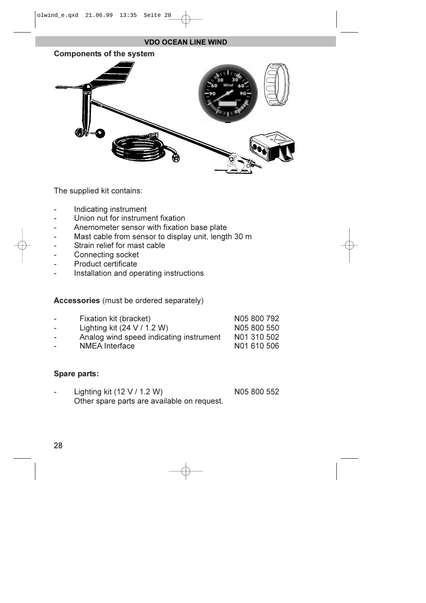#### VDO OCEAN LINE WIND



The supplied kit contains:

- Indicating instrument
- Union nut for instrument fixation
- Anemometer sensor with fixation base plate
- Mast cable from sensor to display unit, length 30 m
- Strain relief for mast cable
- Connecting socket
- Product certificate
- Installation and operating instructions

Accessories (must be ordered separately)

| -        | Fixation kit (bracket)                  | N05 800 792 |  |
|----------|-----------------------------------------|-------------|--|
| $\equiv$ | Lighting kit $(24 V / 1.2 W)$           | N05 800 550 |  |
| $\equiv$ | Analog wind speed indicating instrument | N01 310 502 |  |
| $\equiv$ | <b>NMEA</b> Interface                   | N01 610 506 |  |

#### Spare parts:

Lighting kit (12 V / 1.2 W) N05 800 552 Other spare parts are available on request.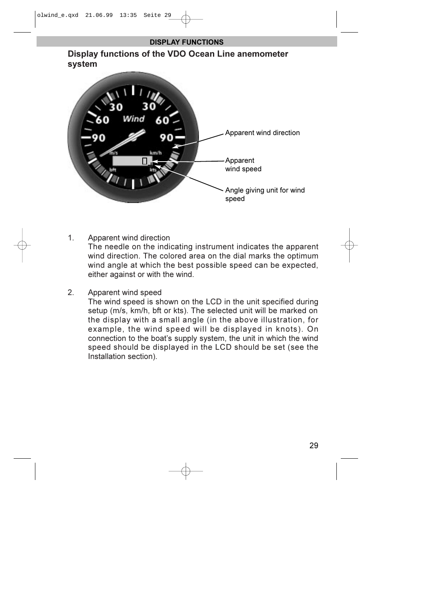#### DISPLAY FUNCTIONS

Display functions of the VDO Ocean Line anemometer system



1. Apparent wind direction

The needle on the indicating instrument indicates the apparent wind direction. The colored area on the dial marks the optimum wind angle at which the best possible speed can be expected, either against or with the wind.

2. Apparent wind speed

The wind speed is shown on the LCD in the unit specified during setup (m/s, km/h, bft or kts). The selected unit will be marked on the display with a small angle (in the above illustration, for example, the wind speed will be displayed in knots). On connection to the boat's supply system, the unit in which the wind speed should be displayed in the LCD should be set (see the Installation section).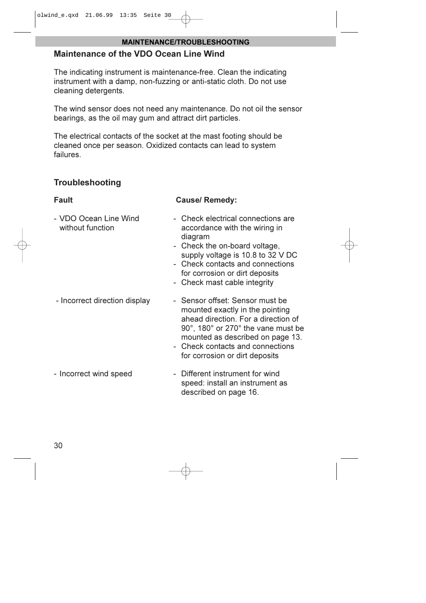#### MAINTENANCE/TROUBLESHOOTING

#### Maintenance of the VDO Ocean Line Wind

The indicating instrument is maintenance-free. Clean the indicating instrument with a damp, non-fuzzing or anti-static cloth. Do not use cleaning detergents.

The wind sensor does not need any maintenance. Do not oil the sensor bearings, as the oil may gum and attract dirt particles.

The electrical contacts of the socket at the mast footing should be cleaned once per season. Oxidized contacts can lead to system failures.

### **Troubleshooting**

#### Fault **Fault** Cause/ Remedy:

- VDO Ocean Line Wind Check electrical connections are without function **accordance** with the wiring in diagram
	- Check the on-board voltage, supply voltage is 10.8 to 32 V DC
	- Check contacts and connections for corrosion or dirt deposits
	- Check mast cable integrity
- Incorrect direction display Sensor offset: Sensor must be mounted exactly in the pointing ahead direction. For a direction of 90°, 180° or 270° the vane must be mounted as described on page 13. - Check contacts and connections for corrosion or dirt deposits
- Incorrect wind speed Different instrument for wind speed: install an instrument as described on page 16.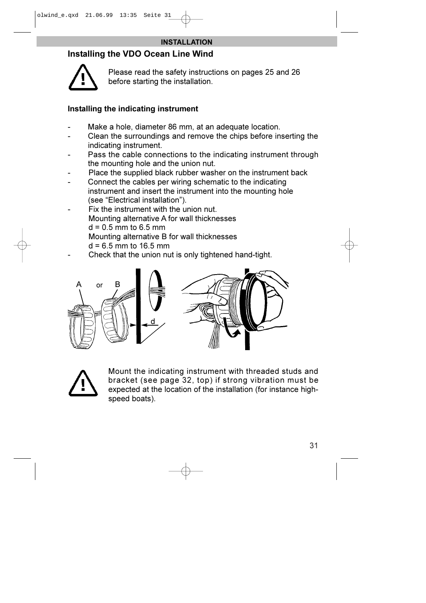#### Installing the VDO Ocean Line Wind



Please read the safety instructions on pages 25 and 26 before starting the installation.

#### Installing the indicating instrument

- Make a hole, diameter 86 mm, at an adequate location.
- Clean the surroundings and remove the chips before inserting the indicating instrument.
- Pass the cable connections to the indicating instrument through the mounting hole and the union nut.
- Place the supplied black rubber washer on the instrument back
- Connect the cables per wiring schematic to the indicating instrument and insert the instrument into the mounting hole (see "Electrical installation").
- Fix the instrument with the union nut. Mounting alternative A for wall thicknesses  $d = 0.5$  mm to 6.5 mm Mounting alternative B for wall thicknesses  $d = 6.5$  mm to 16.5 mm
- Check that the union nut is only tightened hand-tight.





Mount the indicating instrument with threaded studs and bracket (see page 32, top) if strong vibration must be expected at the location of the installation (for instance highspeed boats).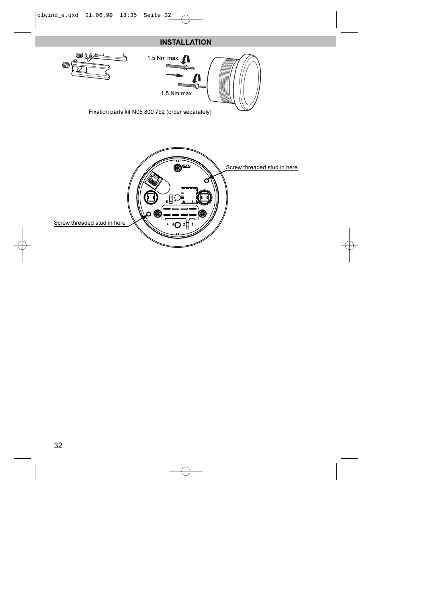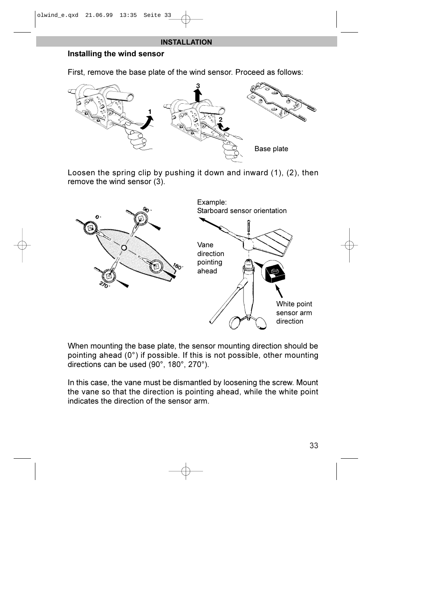#### Installing the wind sensor

First, remove the base plate of the wind sensor. Proceed as follows:



Loosen the spring clip by pushing it down and inward (1), (2), then remove the wind sensor (3).



When mounting the base plate, the sensor mounting direction should be pointing ahead (0°) if possible. If this is not possible, other mounting directions can be used (90°, 180°, 270°).

In this case, the vane must be dismantled by loosening the screw. Mount the vane so that the direction is pointing ahead, while the white point indicates the direction of the sensor arm.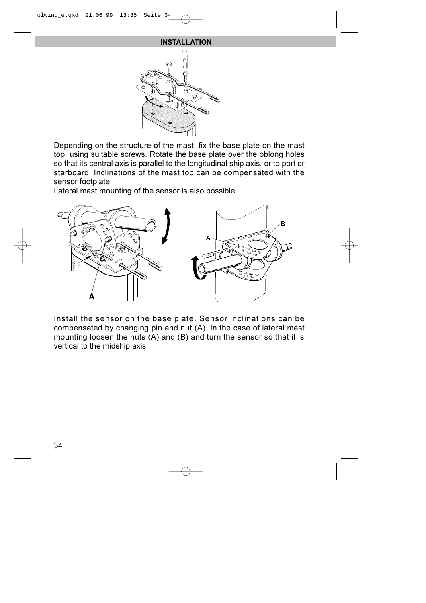

Depending on the structure of the mast, fix the base plate on the mast top, using suitable screws. Rotate the base plate over the oblong holes so that its central axis is parallel to the longitudinal ship axis, or to port or starboard. Inclinations of the mast top can be compensated with the sensor footplate.

Lateral mast mounting of the sensor is also possible.



Install the sensor on the base plate. Sensor inclinations can be compensated by changing pin and nut (A). In the case of lateral mast mounting loosen the nuts (A) and (B) and turn the sensor so that it is vertical to the midship axis.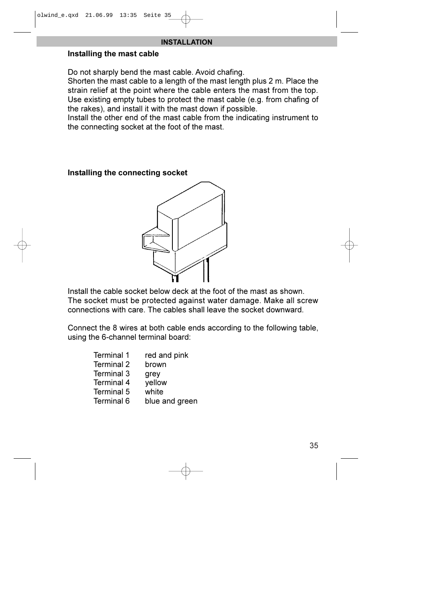#### Installing the mast cable

Do not sharply bend the mast cable. Avoid chafing.

Shorten the mast cable to a length of the mast length plus 2 m. Place the strain relief at the point where the cable enters the mast from the top. Use existing empty tubes to protect the mast cable (e.g. from chafing of the rakes), and install it with the mast down if possible.

Install the other end of the mast cable from the indicating instrument to the connecting socket at the foot of the mast.

#### Installing the connecting socket



Install the cable socket below deck at the foot of the mast as shown. The socket must be protected against water damage. Make all screw connections with care. The cables shall leave the socket downward.

Connect the 8 wires at both cable ends according to the following table, using the 6-channel terminal board:

| Terminal 1 | red and pink   |
|------------|----------------|
| Terminal 2 | brown          |
| Terminal 3 | grey           |
| Terminal 4 | yellow         |
| Terminal 5 | white          |
| Terminal 6 | blue and green |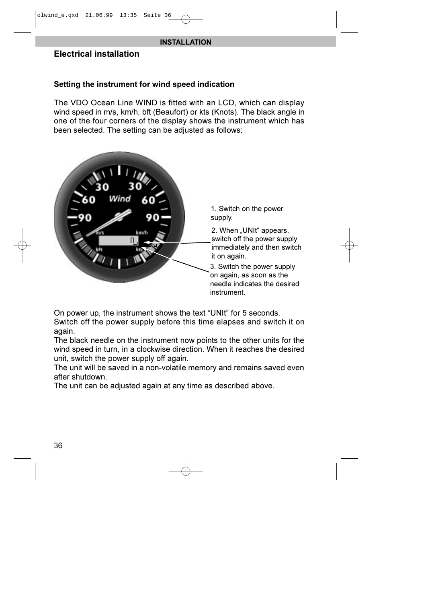#### Electrical installation

#### Setting the instrument for wind speed indication

The VDO Ocean Line WIND is fitted with an LCD, which can display wind speed in m/s, km/h, bft (Beaufort) or kts (Knots). The black angle in one of the four corners of the display shows the instrument which has been selected. The setting can be adjusted as follows:



On power up, the instrument shows the text "UNIt" for 5 seconds. Switch off the power supply before this time elapses and switch it on again.

The black needle on the instrument now points to the other units for the wind speed in turn, in a clockwise direction. When it reaches the desired unit, switch the power supply off again.

The unit will be saved in a non-volatile memory and remains saved even after shutdown.

The unit can be adjusted again at any time as described above.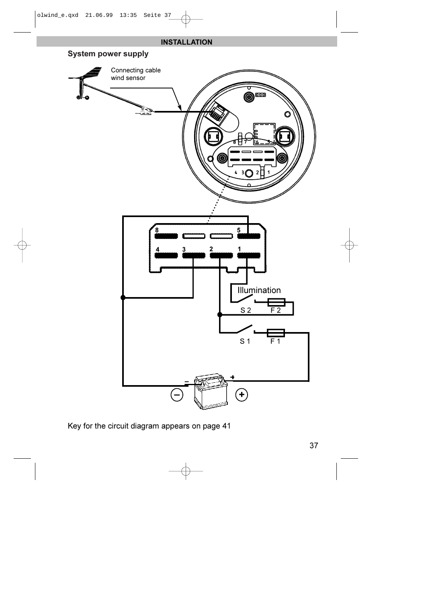

Key for the circuit diagram appears on page 41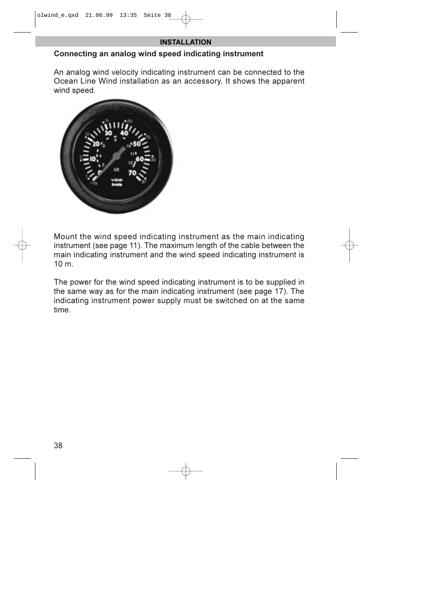#### Connecting an analog wind speed indicating instrument

An analog wind velocity indicating instrument can be connected to the Ocean Line Wind installation as an accessory. It shows the apparent wind speed.



Mount the wind speed indicating instrument as the main indicating instrument (see page 11). The maximum length of the cable between the main indicating instrument and the wind speed indicating instrument is 10 m.

The power for the wind speed indicating instrument is to be supplied in the same way as for the main indicating instrument (see page 17). The indicating instrument power supply must be switched on at the same time.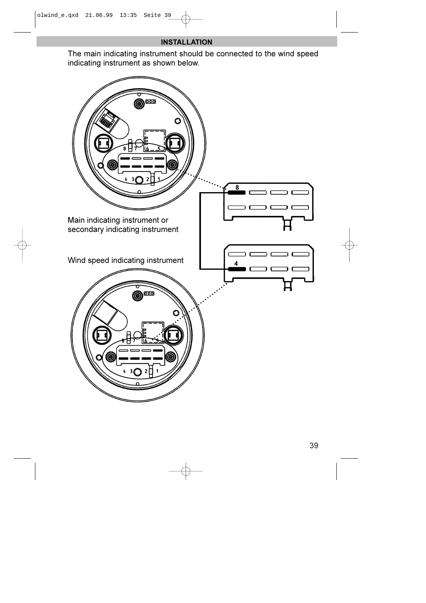The main indicating instrument should be connected to the wind speed indicating instrument as shown below.

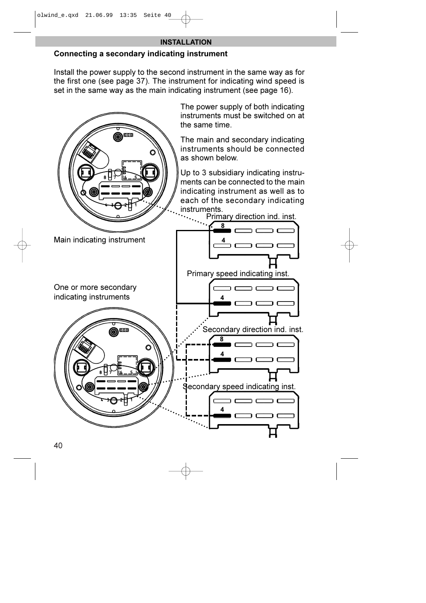#### Connecting a secondary indicating instrument

Install the power supply to the second instrument in the same way as for the first one (see page 37). The instrument for indicating wind speed is set in the same way as the main indicating instrument (see page 16).

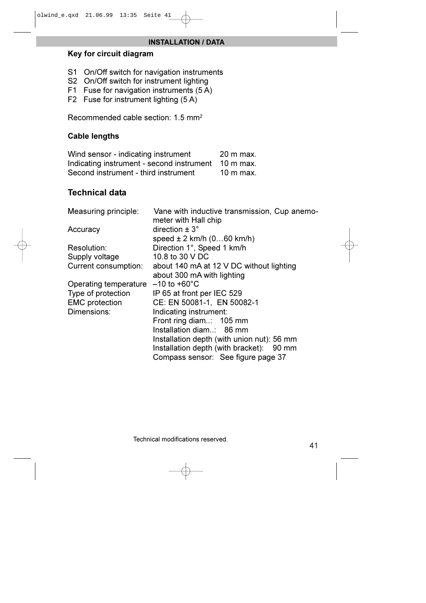#### INSTALLATION / DATA

#### Key for circuit diagram

- S1 On/Off switch for navigation instruments
- S2 On/Off switch for instrument lighting
- F1 Fuse for navigation instruments (5 A)
- F2 Fuse for instrument lighting (5 A)

Recommended cable section: 1.5 mm2

#### Cable lengths

Wind sensor - indicating instrument 20 m max. Indicating instrument - second instrument 10 m max. Second instrument - third instrument 10 m max.

#### Technical data

| Measuring principle:  | Vane with inductive transmission, Cup anemo-<br>meter with Hall chip |
|-----------------------|----------------------------------------------------------------------|
| Accuracy              | direction $\pm$ 3 $^{\circ}$                                         |
|                       | speed $\pm$ 2 km/h (060 km/h)                                        |
| Resolution:           | Direction 1°, Speed 1 km/h                                           |
| Supply voltage        | 10.8 to 30 V DC                                                      |
| Current consumption:  | about 140 mA at 12 V DC without lighting                             |
|                       | about 300 mA with lighting                                           |
| Operating temperature | $-10$ to $+60^{\circ}$ C                                             |
| Type of protection    | IP 65 at front per IEC 529                                           |
| <b>EMC</b> protection | CE: EN 50081-1, EN 50082-1                                           |
| Dimensions:           | Indicating instrument:                                               |
|                       | Front ring diam: 105 mm                                              |
|                       | Installation diam: 86 mm                                             |
|                       | Installation depth (with union nut): 56 mm                           |
|                       | Installation depth (with bracket): 90 mm                             |
|                       | Compass sensor: See figure page 37                                   |